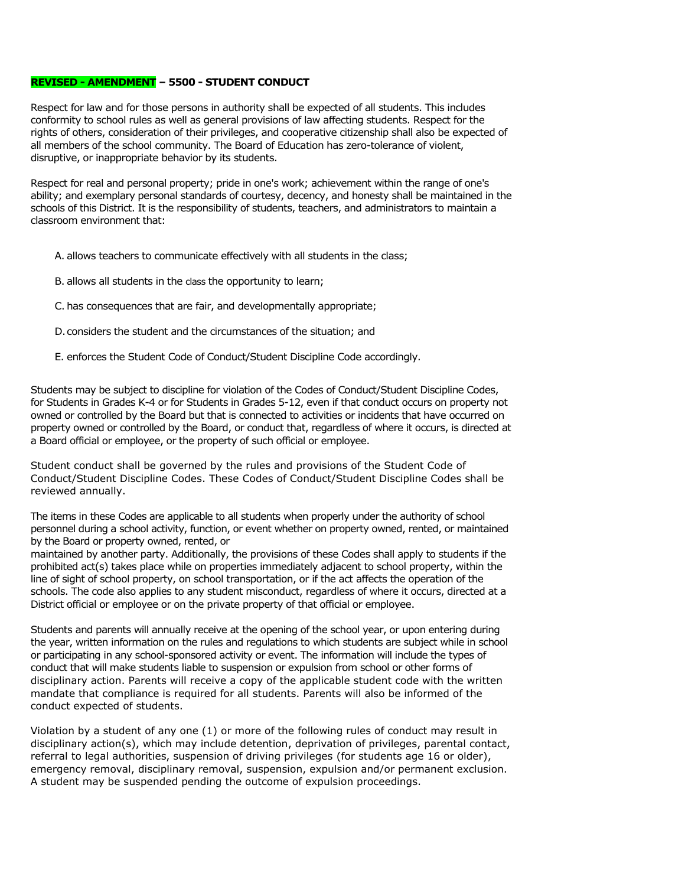### **REVISED - AMENDMENT – 5500 - STUDENT CONDUCT**

Respect for law and for those persons in authority shall be expected of all students. This includes conformity to school rules as well as general provisions of law affecting students. Respect for the rights of others, consideration of their privileges, and cooperative citizenship shall also be expected of all members of the school community. The Board of Education has zero-tolerance of violent, disruptive, or inappropriate behavior by its students.

Respect for real and personal property; pride in one's work; achievement within the range of one's ability; and exemplary personal standards of courtesy, decency, and honesty shall be maintained in the schools of this District. It is the responsibility of students, teachers, and administrators to maintain a classroom environment that:

- A. allows teachers to communicate effectively with all students in the class;
- B. allows all students in the class the opportunity to learn;
- C. has consequences that are fair, and developmentally appropriate;
- D.considers the student and the circumstances of the situation; and
- E. enforces the Student Code of Conduct/Student Discipline Code accordingly.

Students may be subject to discipline for violation of the Codes of Conduct/Student Discipline Codes, for Students in Grades K-4 or for Students in Grades 5-12, even if that conduct occurs on property not owned or controlled by the Board but that is connected to activities or incidents that have occurred on property owned or controlled by the Board, or conduct that, regardless of where it occurs, is directed at a Board official or employee, or the property of such official or employee.

Student conduct shall be governed by the rules and provisions of the Student Code of Conduct/Student Discipline Codes. These Codes of Conduct/Student Discipline Codes shall be reviewed annually.

The items in these Codes are applicable to all students when properly under the authority of school personnel during a school activity, function, or event whether on property owned, rented, or maintained by the Board or property owned, rented, or

maintained by another party. Additionally, the provisions of these Codes shall apply to students if the prohibited act(s) takes place while on properties immediately adjacent to school property, within the line of sight of school property, on school transportation, or if the act affects the operation of the schools. The code also applies to any student misconduct, regardless of where it occurs, directed at a District official or employee or on the private property of that official or employee.

Students and parents will annually receive at the opening of the school year, or upon entering during the year, written information on the rules and regulations to which students are subject while in school or participating in any school-sponsored activity or event. The information will include the types of conduct that will make students liable to suspension or expulsion from school or other forms of disciplinary action. Parents will receive a copy of the applicable student code with the written mandate that compliance is required for all students. Parents will also be informed of the conduct expected of students.

Violation by a student of any one (1) or more of the following rules of conduct may result in disciplinary action(s), which may include detention, deprivation of privileges, parental contact, referral to legal authorities, suspension of driving privileges (for students age 16 or older), emergency removal, disciplinary removal, suspension, expulsion and/or permanent exclusion. A student may be suspended pending the outcome of expulsion proceedings.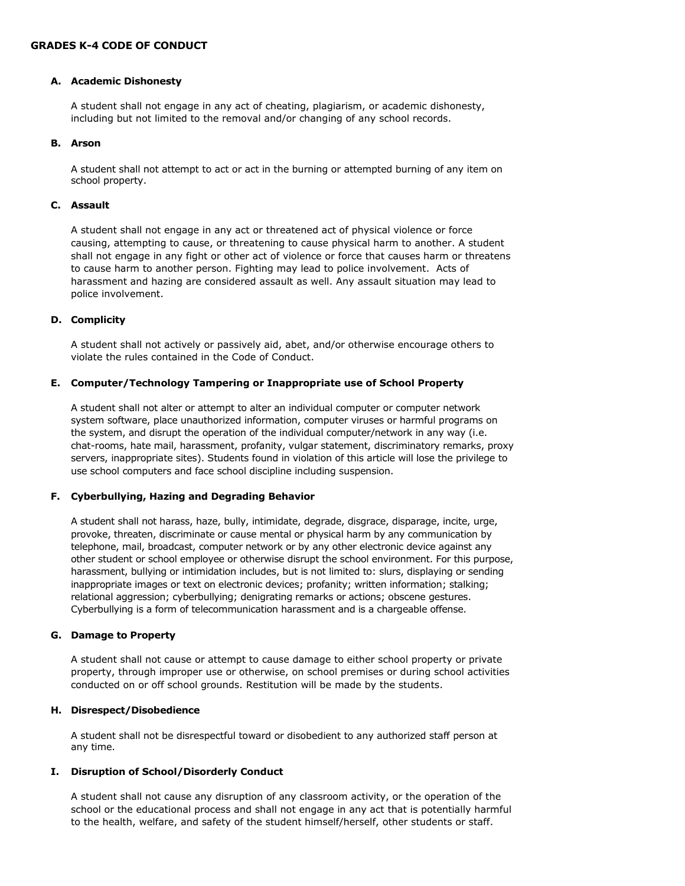## **A. Academic Dishonesty**

A student shall not engage in any act of cheating, plagiarism, or academic dishonesty, including but not limited to the removal and/or changing of any school records.

### **B. Arson**

A student shall not attempt to act or act in the burning or attempted burning of any item on school property.

### **C. Assault**

A student shall not engage in any act or threatened act of physical violence or force causing, attempting to cause, or threatening to cause physical harm to another. A student shall not engage in any fight or other act of violence or force that causes harm or threatens to cause harm to another person. Fighting may lead to police involvement. Acts of harassment and hazing are considered assault as well. Any assault situation may lead to police involvement.

# **D. Complicity**

A student shall not actively or passively aid, abet, and/or otherwise encourage others to violate the rules contained in the Code of Conduct.

# **E. Computer/Technology Tampering or Inappropriate use of School Property**

A student shall not alter or attempt to alter an individual computer or computer network system software, place unauthorized information, computer viruses or harmful programs on the system, and disrupt the operation of the individual computer/network in any way (i.e. chat-rooms, hate mail, harassment, profanity, vulgar statement, discriminatory remarks, proxy servers, inappropriate sites). Students found in violation of this article will lose the privilege to use school computers and face school discipline including suspension.

# **F. Cyberbullying, Hazing and Degrading Behavior**

A student shall not harass, haze, bully, intimidate, degrade, disgrace, disparage, incite, urge, provoke, threaten, discriminate or cause mental or physical harm by any communication by telephone, mail, broadcast, computer network or by any other electronic device against any other student or school employee or otherwise disrupt the school environment. For this purpose, harassment, bullying or intimidation includes, but is not limited to: slurs, displaying or sending inappropriate images or text on electronic devices; profanity; written information; stalking; relational aggression; cyberbullying; denigrating remarks or actions; obscene gestures. Cyberbullying is a form of telecommunication harassment and is a chargeable offense.

### **G. Damage to Property**

A student shall not cause or attempt to cause damage to either school property or private property, through improper use or otherwise, on school premises or during school activities conducted on or off school grounds. Restitution will be made by the students.

### **H. Disrespect/Disobedience**

A student shall not be disrespectful toward or disobedient to any authorized staff person at any time.

# **I. Disruption of School/Disorderly Conduct**

A student shall not cause any disruption of any classroom activity, or the operation of the school or the educational process and shall not engage in any act that is potentially harmful to the health, welfare, and safety of the student himself/herself, other students or staff.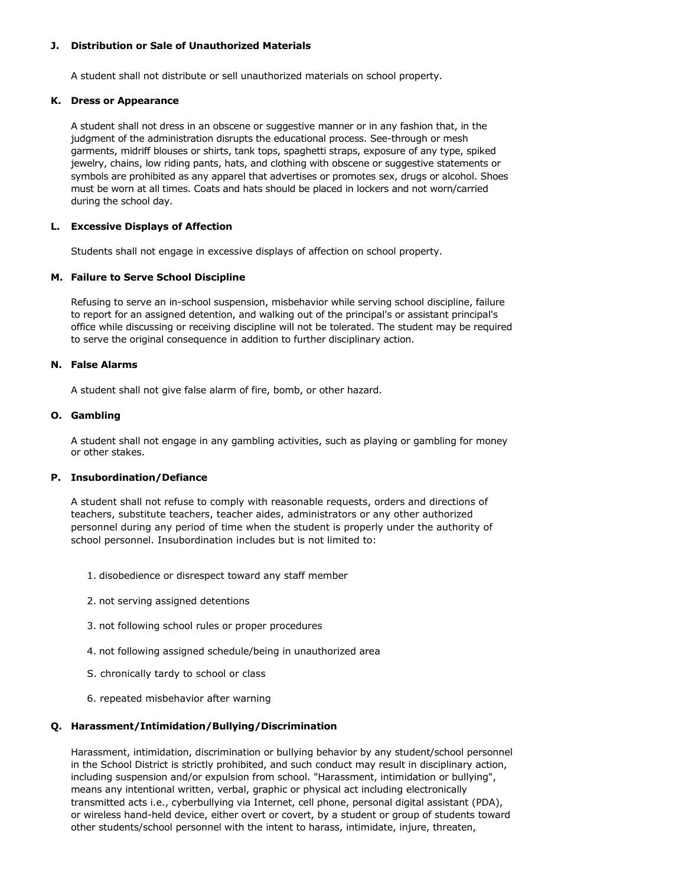### **J. Distribution or Sale of Unauthorized Materials**

A student shall not distribute or sell unauthorized materials on school property.

### **K. Dress or Appearance**

A student shall not dress in an obscene or suggestive manner or in any fashion that, in the judgment of the administration disrupts the educational process. See-through or mesh garments, midriff blouses or shirts, tank tops, spaghetti straps, exposure of any type, spiked jewelry, chains, low riding pants, hats, and clothing with obscene or suggestive statements or symbols are prohibited as any apparel that advertises or promotes sex, drugs or alcohol. Shoes must be worn at all times. Coats and hats should be placed in lockers and not worn/carried during the school day.

### **L. Excessive Displays of Affection**

Students shall not engage in excessive displays of affection on school property.

# **M. Failure to Serve School Discipline**

Refusing to serve an in-school suspension, misbehavior while serving school discipline, failure to report for an assigned detention, and walking out of the principal's or assistant principal's office while discussing or receiving discipline will not be tolerated. The student may be required to serve the original consequence in addition to further disciplinary action.

## **N. False Alarms**

A student shall not give false alarm of fire, bomb, or other hazard.

# **O. Gambling**

A student shall not engage in any gambling activities, such as playing or gambling for money or other stakes.

# **P. Insubordination/Defiance**

A student shall not refuse to comply with reasonable requests, orders and directions of teachers, substitute teachers, teacher aides, administrators or any other authorized personnel during any period of time when the student is properly under the authority of school personnel. Insubordination includes but is not limited to:

- 1. disobedience or disrespect toward any staff member
- 2. not serving assigned detentions
- 3. not following school rules or proper procedures
- 4. not following assigned schedule/being in unauthorized area
- S. chronically tardy to school or class
- 6. repeated misbehavior after warning

### **Q. Harassment/Intimidation/Bullying/Discrimination**

Harassment, intimidation, discrimination or bullying behavior by any student/school personnel in the School District is strictly prohibited, and such conduct may result in disciplinary action, including suspension and/or expulsion from school. "Harassment, intimidation or bullying", means any intentional written, verbal, graphic or physical act including electronically transmitted acts i.e., cyberbullying via Internet, cell phone, personal digital assistant (PDA), or wireless hand-held device, either overt or covert, by a student or group of students toward other students/school personnel with the intent to harass, intimidate, injure, threaten,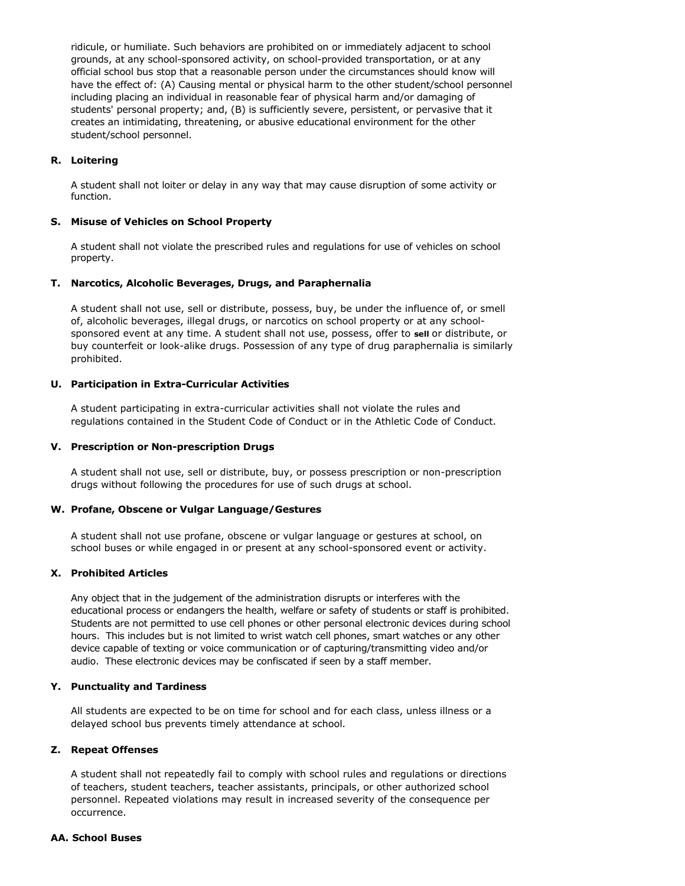ridicule, or humiliate. Such behaviors are prohibited on or immediately adjacent to school grounds, at any school-sponsored activity, on school-provided transportation, or at any official school bus stop that a reasonable person under the circumstances should know will have the effect of: (A) Causing mental or physical harm to the other student/school personnel including placing an individual in reasonable fear of physical harm and/or damaging of students' personal property; and, (B) is sufficiently severe, persistent, or pervasive that it creates an intimidating, threatening, or abusive educational environment for the other student/school personnel.

### **R. Loitering**

A student shall not loiter or delay in any way that may cause disruption of some activity or function.

### **S. Misuse of Vehicles on School Property**

A student shall not violate the prescribed rules and regulations for use of vehicles on school property.

### **T. Narcotics, Alcoholic Beverages, Drugs, and Paraphernalia**

A student shall not use, sell or distribute, possess, buy, be under the influence of, or smell of, alcoholic beverages, illegal drugs, or narcotics on school property or at any schoolsponsored event at any time. A student shall not use, possess, offer to **sell** or distribute, or buy counterfeit or look-alike drugs. Possession of any type of drug paraphernalia is similarly prohibited.

### **U. Participation in Extra-Curricular Activities**

A student participating in extra-curricular activities shall not violate the rules and regulations contained in the Student Code of Conduct or in the Athletic Code of Conduct.

### **V. Prescription or Non-prescription Drugs**

A student shall not use, sell or distribute, buy, or possess prescription or non-prescription drugs without following the procedures for use of such drugs at school.

### **W. Profane, Obscene or Vulgar Language/Gestures**

A student shall not use profane, obscene or vulgar language or gestures at school, on school buses or while engaged in or present at any school-sponsored event or activity.

# **X. Prohibited Articles**

Any object that in the judgement of the administration disrupts or interferes with the educational process or endangers the health, welfare or safety of students or staff is prohibited. Students are not permitted to use cell phones or other personal electronic devices during school hours. This includes but is not limited to wrist watch cell phones, smart watches or any other device capable of texting or voice communication or of capturing/transmitting video and/or audio. These electronic devices may be confiscated if seen by a staff member.

### **Y. Punctuality and Tardiness**

All students are expected to be on time for school and for each class, unless illness or a delayed school bus prevents timely attendance at school.

### **Z. Repeat Offenses**

A student shall not repeatedly fail to comply with school rules and regulations or directions of teachers, student teachers, teacher assistants, principals, or other authorized school personnel. Repeated violations may result in increased severity of the consequence per occurrence.

### **AA. School Buses**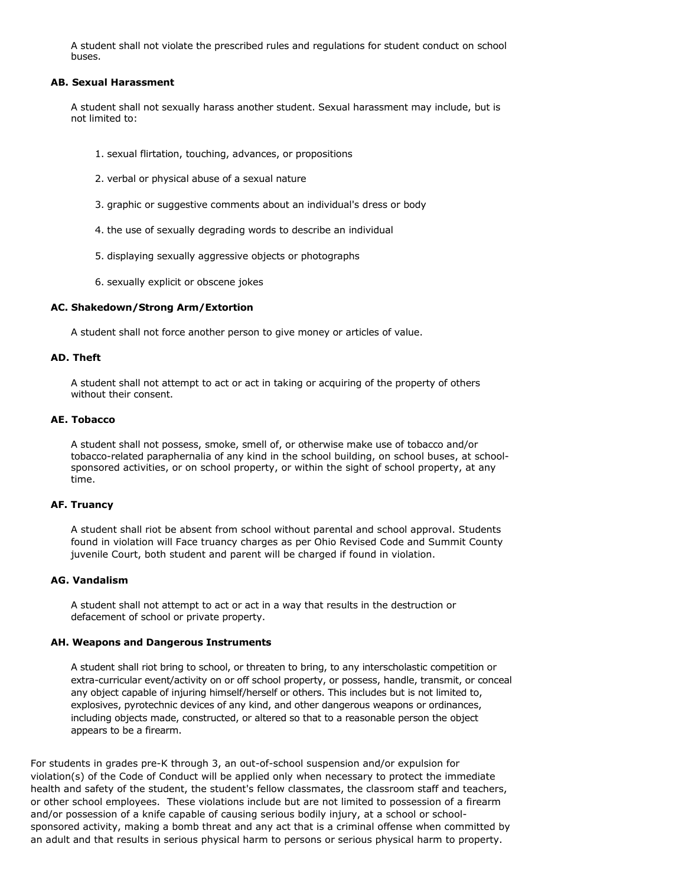A student shall not violate the prescribed rules and regulations for student conduct on school buses.

#### **AB. Sexual Harassment**

A student shall not sexually harass another student. Sexual harassment may include, but is not limited to:

- 1. sexual flirtation, touching, advances, or propositions
- 2. verbal or physical abuse of a sexual nature
- 3. graphic or suggestive comments about an individual's dress or body
- 4. the use of sexually degrading words to describe an individual
- 5. displaying sexually aggressive objects or photographs
- 6. sexually explicit or obscene jokes

### **AC. Shakedown/Strong Arm/Extortion**

A student shall not force another person to give money or articles of value.

#### **AD. Theft**

A student shall not attempt to act or act in taking or acquiring of the property of others without their consent.

### **AE. Tobacco**

A student shall not possess, smoke, smell of, or otherwise make use of tobacco and/or tobacco-related paraphernalia of any kind in the school building, on school buses, at schoolsponsored activities, or on school property, or within the sight of school property, at any time.

### **AF. Truancy**

A student shall riot be absent from school without parental and school approval. Students found in violation will Face truancy charges as per Ohio Revised Code and Summit County juvenile Court, both student and parent will be charged if found in violation.

### **AG. Vandalism**

A student shall not attempt to act or act in a way that results in the destruction or defacement of school or private property.

### **AH. Weapons and Dangerous Instruments**

A student shall riot bring to school, or threaten to bring, to any interscholastic competition or extra-curricular event/activity on or off school property, or possess, handle, transmit, or conceal any object capable of injuring himself/herself or others. This includes but is not limited to, explosives, pyrotechnic devices of any kind, and other dangerous weapons or ordinances, including objects made, constructed, or altered so that to a reasonable person the object appears to be a firearm.

For students in grades pre-K through 3, an out-of-school suspension and/or expulsion for violation(s) of the Code of Conduct will be applied only when necessary to protect the immediate health and safety of the student, the student's fellow classmates, the classroom staff and teachers, or other school employees. These violations include but are not limited to possession of a firearm and/or possession of a knife capable of causing serious bodily injury, at a school or schoolsponsored activity, making a bomb threat and any act that is a criminal offense when committed by an adult and that results in serious physical harm to persons or serious physical harm to property.